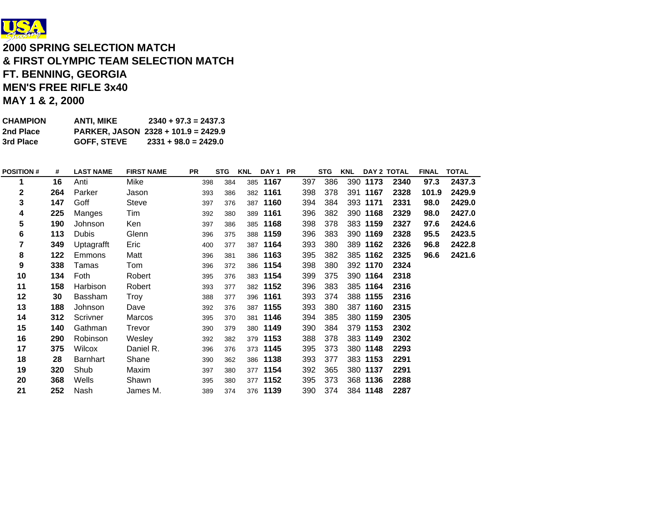

# **2000 SPRING SELECTION MATCH& FIRST OLYMPIC TEAM SELECTION MATCH FT. BENNING, GEORGIA MEN'S FREE RIFLE 3x40 MAY 1 & 2, 2000**

| CHAMPION  | ANTI. MIKE         | $2340 + 97.3 = 2437.3$                |
|-----------|--------------------|---------------------------------------|
| 2nd Place |                    | PARKER, JASON $2328 + 101.9 = 2429.9$ |
| 3rd Place | <b>GOFF. STEVE</b> | $2331 + 98.0 = 2429.0$                |

| <b>POSITION#</b> | #   | <b>LAST NAME</b> | <b>FIRST NAME</b> | <b>PR</b> | <b>STG</b> | <b>KNL</b> | DAY <sub>1</sub> | <b>PR</b> |     | <b>STG</b> | <b>KNL</b> |          | DAY 2 TOTAL | <b>FINAL</b> | <b>TOTAL</b> |
|------------------|-----|------------------|-------------------|-----------|------------|------------|------------------|-----------|-----|------------|------------|----------|-------------|--------------|--------------|
|                  | 16  | Anti             | Mike              | 398       | 384        |            | 385 1167         |           | 397 | 386        |            | 390 1173 | 2340        | 97.3         | 2437.3       |
| $\mathbf{2}$     | 264 | Parker           | Jason             | 393       | 386        |            | 382 1161         |           | 398 | 378        |            | 391 1167 | 2328        | 101.9        | 2429.9       |
| 3                | 147 | Goff             | <b>Steve</b>      | 397       | 376        |            | 387 1160         |           | 394 | 384        |            | 393 1171 | 2331        | 98.0         | 2429.0       |
| 4                | 225 | Manges           | Tim               | 392       | 380        |            | 389 1161         |           | 396 | 382        |            | 390 1168 | 2329        | 98.0         | 2427.0       |
| 5                | 190 | Johnson          | Ken               | 397       | 386        |            | 385 1168         |           | 398 | 378        |            | 383 1159 | 2327        | 97.6         | 2424.6       |
| 6                | 113 | <b>Dubis</b>     | Glenn             | 396       | 375        |            | 388 1159         |           | 396 | 383        |            | 390 1169 | 2328        | 95.5         | 2423.5       |
| 7                | 349 | Uptagrafft       | Eric              | 400       | 377        |            | 387 1164         |           | 393 | 380        |            | 389 1162 | 2326        | 96.8         | 2422.8       |
| 8                | 122 | Emmons           | Matt              | 396       | 381        | 386        | 1163             |           | 395 | 382        |            | 385 1162 | 2325        | 96.6         | 2421.6       |
| 9                | 338 | Tamas            | Tom               | 396       | 372        |            | 386 1154         |           | 398 | 380        |            | 392 1170 | 2324        |              |              |
| 10               | 134 | Foth             | Robert            | 395       | 376        |            | 383 1154         |           | 399 | 375        |            | 390 1164 | 2318        |              |              |
| 11               | 158 | Harbison         | Robert            | 393       | 377        |            | 382 1152         |           | 396 | 383        |            | 385 1164 | 2316        |              |              |
| 12               | 30  | Bassham          | Troy              | 388       | 377        |            | 396 1161         |           | 393 | 374        |            | 388 1155 | 2316        |              |              |
| 13               | 188 | Johnson          | Dave              | 392       | 376        |            | 387 1155         |           | 393 | 380        |            | 387 1160 | 2315        |              |              |
| 14               | 312 | Scrivner         | Marcos            | 395       | 370        |            | 381 1146         |           | 394 | 385        |            | 380 1159 | 2305        |              |              |
| 15               | 140 | Gathman          | Trevor            | 390       | 379        |            | 380 1149         |           | 390 | 384        |            | 379 1153 | 2302        |              |              |
| 16               | 290 | Robinson         | Wesley            | 392       | 382        |            | 379 1153         |           | 388 | 378        |            | 383 1149 | 2302        |              |              |
| 17               | 375 | Wilcox           | Daniel R.         | 396       | 376        |            | 373 1145         |           | 395 | 373        |            | 380 1148 | 2293        |              |              |
| 18               | 28  | Barnhart         | Shane             | 390       | 362        |            | 386 1138         |           | 393 | 377        |            | 383 1153 | 2291        |              |              |
| 19               | 320 | Shub             | Maxim             | 397       | 380        |            | 377 1154         |           | 392 | 365        |            | 380 1137 | 2291        |              |              |
| 20               | 368 | Wells            | Shawn             | 395       | 380        |            | 377 1152         |           | 395 | 373        |            | 368 1136 | 2288        |              |              |
| 21               | 252 | Nash             | James M.          | 389       | 374        |            | 376 1139         |           | 390 | 374        |            | 384 1148 | 2287        |              |              |
|                  |     |                  |                   |           |            |            |                  |           |     |            |            |          |             |              |              |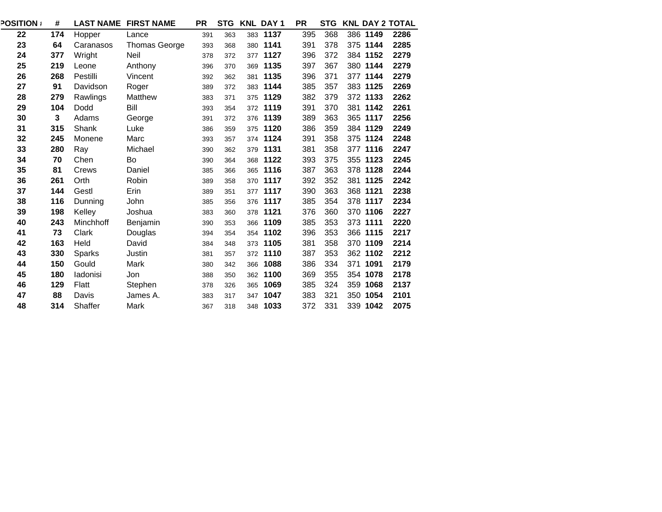| <b>POSITION :</b> | #   |           | <b>LAST NAME FIRST NAME</b> | <b>PR</b> | <b>STG</b> |     | <b>KNL DAY 1</b> | <b>PR</b> | <b>STG</b> |          | <b>KNL DAY 2 TOTAL</b> |
|-------------------|-----|-----------|-----------------------------|-----------|------------|-----|------------------|-----------|------------|----------|------------------------|
| 22                | 174 | Hopper    | Lance                       | 391       | 363        |     | 383 1137         | 395       | 368        | 386 1149 | 2286                   |
| 23                | 64  | Caranasos | Thomas George               | 393       | 368        |     | 380 1141         | 391       | 378        | 375 1144 | 2285                   |
| 24                | 377 | Wright    | Neil                        | 378       | 372        |     | 377 1127         | 396       | 372        | 384 1152 | 2279                   |
| 25                | 219 | Leone     | Anthony                     | 396       | 370        |     | 369 1135         | 397       | 367        | 380 1144 | 2279                   |
| 26                | 268 | Pestilli  | Vincent                     | 392       | 362        |     | 381 1135         | 396       | 371        | 377 1144 | 2279                   |
| 27                | 91  | Davidson  | Roger                       | 389       | 372        |     | 383 1144         | 385       | 357        | 383 1125 | 2269                   |
| 28                | 279 | Rawlings  | Matthew                     | 383       | 371        |     | 375 1129         | 382       | 379        | 372 1133 | 2262                   |
| 29                | 104 | Dodd      | Bill                        | 393       | 354        |     | 372 1119         | 391       | 370        | 381 1142 | 2261                   |
| 30                | 3   | Adams     | George                      | 391       | 372        |     | 376 1139         | 389       | 363        | 365 1117 | 2256                   |
| 31                | 315 | Shank     | Luke                        | 386       | 359        |     | 375 1120         | 386       | 359        | 384 1129 | 2249                   |
| 32                | 245 | Monene    | Marc                        | 393       | 357        |     | 374 1124         | 391       | 358        | 375 1124 | 2248                   |
| 33                | 280 | Ray       | Michael                     | 390       | 362        |     | 379 1131         | 381       | 358        | 377 1116 | 2247                   |
| 34                | 70  | Chen      | Bo                          | 390       | 364        |     | 368 1122         | 393       | 375        | 355 1123 | 2245                   |
| 35                | 81  | Crews     | Daniel                      | 385       | 366        |     | 365 1116         | 387       | 363        | 378 1128 | 2244                   |
| 36                | 261 | Orth      | Robin                       | 389       | 358        |     | 370 1117         | 392       | 352        | 381 1125 | 2242                   |
| 37                | 144 | Gestl     | Erin                        | 389       | 351        |     | 377 1117         | 390       | 363        | 368 1121 | 2238                   |
| 38                | 116 | Dunning   | John                        | 385       | 356        |     | 376 1117         | 385       | 354        | 378 1117 | 2234                   |
| 39                | 198 | Kelley    | Joshua                      | 383       | 360        |     | 378 1121         | 376       | 360        | 370 1106 | 2227                   |
| 40                | 243 | Minchhoff | Benjamin                    | 390       | 353        |     | 366 1109         | 385       | 353        | 373 1111 | 2220                   |
| 41                | 73  | Clark     | Douglas                     | 394       | 354        |     | 354 1102         | 396       | 353        | 366 1115 | 2217                   |
| 42                | 163 | Held      | David                       | 384       | 348        |     | 373 1105         | 381       | 358        | 370 1109 | 2214                   |
| 43                | 330 | Sparks    | Justin                      | 381       | 357        |     | 372 1110         | 387       | 353        | 362 1102 | 2212                   |
| 44                | 150 | Gould     | Mark                        | 380       | 342        |     | 366 1088         | 386       | 334        | 371 1091 | 2179                   |
| 45                | 180 | ladonisi  | Jon                         | 388       | 350        | 362 | 1100             | 369       | 355        | 354 1078 | 2178                   |
| 46                | 129 | Flatt     | Stephen                     | 378       | 326        | 365 | 1069             | 385       | 324        | 359 1068 | 2137                   |
| 47                | 88  | Davis     | James A.                    | 383       | 317        |     | 347 1047         | 383       | 321        | 350 1054 | 2101                   |
| 48                | 314 | Shaffer   | Mark                        | 367       | 318        |     | 348 1033         | 372       | 331        | 339 1042 | 2075                   |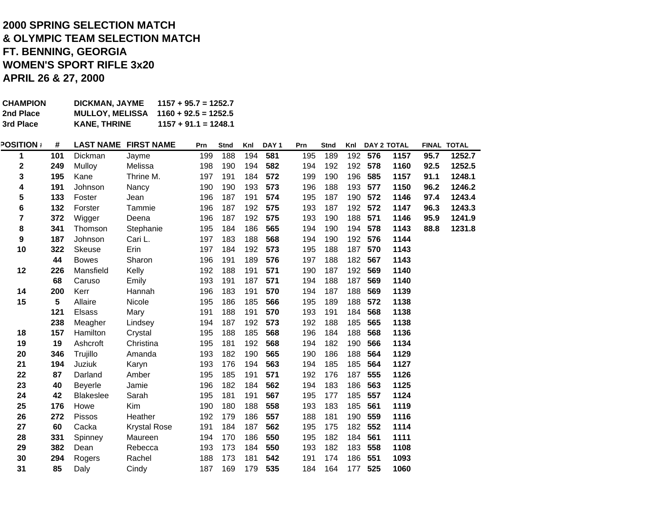# **APRIL 26 & 27, 2000 2000 SPRING SELECTION MATCH & OLYMPIC TEAM SELECTION MATCH FT. BENNING, GEORGIA WOMEN'S SPORT RIFLE 3x20**

| <b>CHAMPION</b><br>2nd Place<br>3rd Place |     | DICKMAN, JAYME<br><b>MULLOY, MELISSA</b><br><b>KANE, THRINE</b> | $1157 + 95.7 = 1252.7$<br>$1160 + 92.5 = 1252.5$<br>$1157 + 91.1 = 1248.1$ |     |             |     |                  |     |             |     |         |                    |      |             |
|-------------------------------------------|-----|-----------------------------------------------------------------|----------------------------------------------------------------------------|-----|-------------|-----|------------------|-----|-------------|-----|---------|--------------------|------|-------------|
| <b>POSITION</b>                           | #   | <b>LAST NAME</b>                                                | <b>FIRST NAME</b>                                                          | Prn | <b>Stnd</b> | Knl | DAY <sub>1</sub> | Prn | <b>Stnd</b> | Knl |         | <b>DAY 2 TOTAL</b> |      | FINAL TOTAL |
| 1                                         | 101 | Dickman                                                         | Jayme                                                                      | 199 | 188         | 194 | 581              | 195 | 189         | 192 | 576     | 1157               | 95.7 | 1252.7      |
| 2                                         | 249 | Mulloy                                                          | Melissa                                                                    | 198 | 190         | 194 | 582              | 194 | 192         |     | 192 578 | 1160               | 92.5 | 1252.5      |
| 3                                         | 195 | Kane                                                            | Thrine M.                                                                  | 197 | 191         | 184 | 572              | 199 | 190         | 196 | 585     | 1157               | 91.1 | 1248.1      |
| 4                                         | 191 | Johnson                                                         | Nancy                                                                      | 190 | 190         | 193 | 573              | 196 | 188         | 193 | 577     | 1150               | 96.2 | 1246.2      |
| 5                                         | 133 | Foster                                                          | Jean                                                                       | 196 | 187         | 191 | 574              | 195 | 187         | 190 | 572     | 1146               | 97.4 | 1243.4      |
| 6                                         | 132 | Forster                                                         | Tammie                                                                     | 196 | 187         | 192 | 575              | 193 | 187         | 192 | 572     | 1147               | 96.3 | 1243.3      |
| 7                                         | 372 | Wigger                                                          | Deena                                                                      | 196 | 187         | 192 | 575              | 193 | 190         | 188 | 571     | 1146               | 95.9 | 1241.9      |
| 8                                         | 341 | Thomson                                                         | Stephanie                                                                  | 195 | 184         | 186 | 565              | 194 | 190         | 194 | 578     | 1143               | 88.8 | 1231.8      |
| 9                                         | 187 | Johnson                                                         | Cari L.                                                                    | 197 | 183         | 188 | 568              | 194 | 190         |     | 192 576 | 1144               |      |             |
| 10                                        | 322 | Skeuse                                                          | Erin                                                                       | 197 | 184         | 192 | 573              | 195 | 188         | 187 | 570     | 1143               |      |             |
|                                           | 44  | <b>Bowes</b>                                                    | Sharon                                                                     | 196 | 191         | 189 | 576              | 197 | 188         | 182 | 567     | 1143               |      |             |
| 12                                        | 226 | Mansfield                                                       | Kelly                                                                      | 192 | 188         | 191 | 571              | 190 | 187         | 192 | 569     | 1140               |      |             |
|                                           | 68  | Caruso                                                          | Emily                                                                      | 193 | 191         | 187 | 571              | 194 | 188         | 187 | 569     | 1140               |      |             |
| 14                                        | 200 | Kerr                                                            | Hannah                                                                     | 196 | 183         | 191 | 570              | 194 | 187         | 188 | 569     | 1139               |      |             |
| 15                                        | 5   | Allaire                                                         | Nicole                                                                     | 195 | 186         | 185 | 566              | 195 | 189         | 188 | 572     | 1138               |      |             |
|                                           | 121 | <b>Elsass</b>                                                   | Mary                                                                       | 191 | 188         | 191 | 570              | 193 | 191         | 184 | 568     | 1138               |      |             |
|                                           | 238 | Meagher                                                         | Lindsey                                                                    | 194 | 187         | 192 | 573              | 192 | 188         | 185 | 565     | 1138               |      |             |
| 18                                        | 157 | Hamilton                                                        | Crystal                                                                    | 195 | 188         | 185 | 568              | 196 | 184         | 188 | 568     | 1136               |      |             |
| 19                                        | 19  | Ashcroft                                                        | Christina                                                                  | 195 | 181         | 192 | 568              | 194 | 182         | 190 | 566     | 1134               |      |             |
| 20                                        | 346 | Trujillo                                                        | Amanda                                                                     | 193 | 182         | 190 | 565              | 190 | 186         | 188 | 564     | 1129               |      |             |
| 21                                        | 194 | Juziuk                                                          | Karyn                                                                      | 193 | 176         | 194 | 563              | 194 | 185         | 185 | 564     | 1127               |      |             |
| 22                                        | 87  | Darland                                                         | Amber                                                                      | 195 | 185         | 191 | 571              | 192 | 176         | 187 | 555     | 1126               |      |             |
| 23                                        | 40  | <b>Beyerle</b>                                                  | Jamie                                                                      | 196 | 182         | 184 | 562              | 194 | 183         | 186 | 563     | 1125               |      |             |
| 24                                        | 42  | <b>Blakeslee</b>                                                | Sarah                                                                      | 195 | 181         | 191 | 567              | 195 | 177         | 185 | 557     | 1124               |      |             |
| 25                                        | 176 | Howe                                                            | Kim                                                                        | 190 | 180         | 188 | 558              | 193 | 183         | 185 | 561     | 1119               |      |             |
| 26                                        | 272 | Pissos                                                          | Heather                                                                    | 192 | 179         | 186 | 557              | 188 | 181         | 190 | 559     | 1116               |      |             |
| 27                                        | 60  | Cacka                                                           | <b>Krystal Rose</b>                                                        | 191 | 184         | 187 | 562              | 195 | 175         | 182 | 552     | 1114               |      |             |
| 28                                        | 331 | Spinney                                                         | Maureen                                                                    | 194 | 170         | 186 | 550              | 195 | 182         | 184 | 561     | 1111               |      |             |
| 29                                        | 382 | Dean                                                            | Rebecca                                                                    | 193 | 173         | 184 | 550              | 193 | 182         | 183 | 558     | 1108               |      |             |
| 30                                        | 294 | Rogers                                                          | Rachel                                                                     | 188 | 173         | 181 | 542              | 191 | 174         | 186 | 551     | 1093               |      |             |
| 31                                        | 85  | Daly                                                            | Cindy                                                                      | 187 | 169         | 179 | 535              | 184 | 164         | 177 | 525     | 1060               |      |             |
|                                           |     |                                                                 |                                                                            |     |             |     |                  |     |             |     |         |                    |      |             |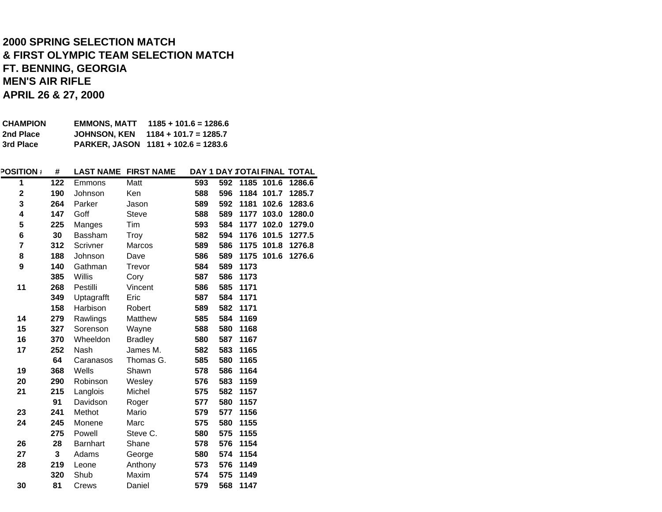## **APRIL 26 & 27, 2000 FT. BENNING, GEORGIA MEN'S AIR RIFLE 2000 SPRING SELECTION MATCH & FIRST OLYMPIC TEAM SELECTION MATCH**

| <b>CHAMPION</b> | EMMONS. MATT        | $1185 + 101.6 = 1286.6$             |
|-----------------|---------------------|-------------------------------------|
| 2nd Place       | <b>JOHNSON. KEN</b> | $1184 + 101.7 = 1285.7$             |
| 3rd Place       |                     | PARKER, JASON 1181 + 102.6 = 1283.6 |

| <b>POSITION:</b> | #   | <b>LAST NAME</b> | <b>FIRST NAME</b> |     |     |      |            | DAY 1 DAY :TOTAI FINAL TOTAL |
|------------------|-----|------------------|-------------------|-----|-----|------|------------|------------------------------|
| 1                | 122 | Emmons           | Matt              | 593 | 592 |      | 1185 101.6 | 1286.6                       |
| $\mathbf 2$      | 190 | Johnson          | Ken               | 588 | 596 | 1184 | 101.7      | 1285.7                       |
| 3                | 264 | Parker           | Jason             | 589 | 592 | 1181 | 102.6      | 1283.6                       |
| 4                | 147 | Goff             | <b>Steve</b>      | 588 | 589 | 1177 | 103.0      | 1280.0                       |
| 5                | 225 | Manges           | Tim               | 593 | 584 | 1177 | 102.0      | 1279.0                       |
| 6                | 30  | Bassham          | Troy              | 582 | 594 | 1176 | 101.5      | 1277.5                       |
| 7                | 312 | Scrivner         | Marcos            | 589 | 586 | 1175 | 101.8      | 1276.8                       |
| 8                | 188 | Johnson          | Dave              | 586 | 589 |      | 1175 101.6 | 1276.6                       |
| 9                | 140 | Gathman          | Trevor            | 584 | 589 | 1173 |            |                              |
|                  | 385 | Willis           | Cory              | 587 | 586 | 1173 |            |                              |
| 11               | 268 | Pestilli         | Vincent           | 586 | 585 | 1171 |            |                              |
|                  | 349 | Uptagrafft       | Eric              | 587 | 584 | 1171 |            |                              |
|                  | 158 | Harbison         | Robert            | 589 | 582 | 1171 |            |                              |
| 14               | 279 | Rawlings         | Matthew           | 585 | 584 | 1169 |            |                              |
| 15               | 327 | Sorenson         | Wayne             | 588 | 580 | 1168 |            |                              |
| 16               | 370 | Wheeldon         | <b>Bradley</b>    | 580 | 587 | 1167 |            |                              |
| 17               | 252 | Nash             | James M.          | 582 | 583 | 1165 |            |                              |
|                  | 64  | Caranasos        | Thomas G.         | 585 | 580 | 1165 |            |                              |
| 19               | 368 | Wells            | Shawn             | 578 | 586 | 1164 |            |                              |
| 20               | 290 | Robinson         | Wesley            | 576 | 583 | 1159 |            |                              |
| 21               | 215 | Langlois         | Michel            | 575 | 582 | 1157 |            |                              |
|                  | 91  | Davidson         | Roger             | 577 | 580 | 1157 |            |                              |
| 23               | 241 | Methot           | Mario             | 579 | 577 | 1156 |            |                              |
| 24               | 245 | Monene           | Marc              | 575 | 580 | 1155 |            |                              |
|                  | 275 | Powell           | Steve C.          | 580 | 575 | 1155 |            |                              |
| 26               | 28  | <b>Barnhart</b>  | Shane             | 578 | 576 | 1154 |            |                              |
| 27               | 3   | Adams            | George            | 580 | 574 | 1154 |            |                              |
| 28               | 219 | Leone            | Anthony           | 573 | 576 | 1149 |            |                              |
|                  | 320 | Shub             | Maxim             | 574 | 575 | 1149 |            |                              |
| 30               | 81  | Crews            | Daniel            | 579 | 568 | 1147 |            |                              |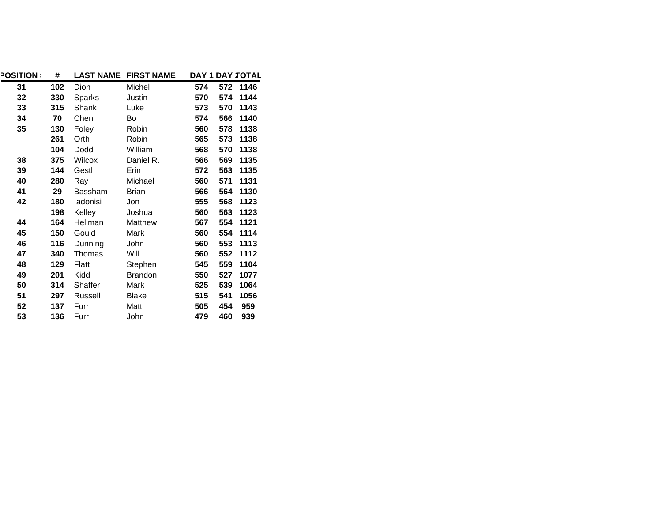| <b>POSITION</b> | #   | <b>LAST NAME</b> | <b>FIRST NAME</b> |     | DAY 1 DAY : TOTAL |
|-----------------|-----|------------------|-------------------|-----|-------------------|
| 31              | 102 | Dion             | Michel            | 574 | 572<br>1146       |
| 32              | 330 | Sparks           | Justin            | 570 | 574<br>1144       |
| 33              | 315 | Shank            | Luke              | 573 | 570<br>1143       |
| 34              | 70  | Chen             | Bo                | 574 | 566<br>1140       |
| 35              | 130 | Foley            | Robin             | 560 | 578<br>1138       |
|                 | 261 | Orth             | Robin             | 565 | 573<br>1138       |
|                 | 104 | Dodd             | William           | 568 | 570<br>1138       |
| 38              | 375 | Wilcox           | Daniel R.         | 566 | 569<br>1135       |
| 39              | 144 | Gestl            | Erin              | 572 | 563<br>1135       |
| 40              | 280 | Ray              | Michael           | 560 | 571<br>1131       |
| 41              | 29  | Bassham          | <b>Brian</b>      | 566 | 564<br>1130       |
| 42              | 180 | ladonisi         | Jon               | 555 | 568<br>1123       |
|                 | 198 | Kelley           | Joshua            | 560 | 563<br>1123       |
| 44              | 164 | Hellman          | Matthew           | 567 | 554<br>1121       |
| 45              | 150 | Gould            | Mark              | 560 | 554<br>1114       |
| 46              | 116 | Dunning          | John              | 560 | 553<br>1113       |
| 47              | 340 | Thomas           | Will              | 560 | 552<br>1112       |
| 48              | 129 | Flatt            | Stephen           | 545 | 559<br>1104       |
| 49              | 201 | Kidd             | <b>Brandon</b>    | 550 | 527<br>1077       |
| 50              | 314 | Shaffer          | Mark              | 525 | 539<br>1064       |
| 51              | 297 | Russell          | Blake             | 515 | 541<br>1056       |
| 52              | 137 | Furr             | Matt              | 505 | 454<br>959        |
| 53              | 136 | Furr             | John              | 479 | 460<br>939        |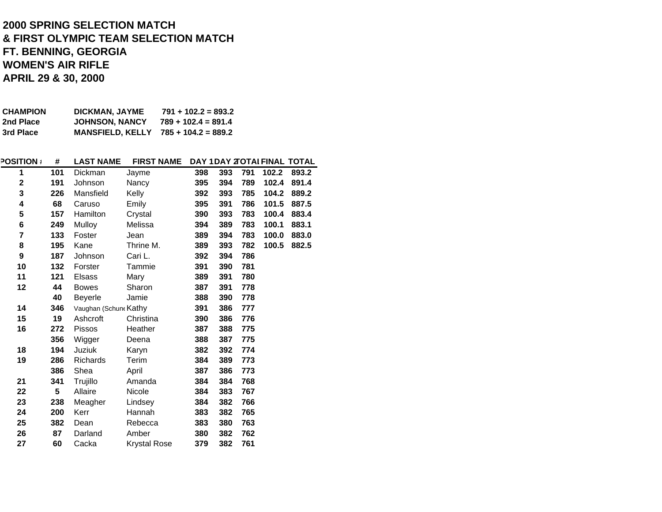#### **2000 SPRING SELECTION MATCH & FIRST OLYMPIC TEAM SELECTION MATCH FT. BENNING, GEORGIA WOMEN'S AIR RIFLEAPRIL 29 & 30, 2000**

| <b>CHAMPION</b> | DICKMAN, JAYME          | $791 + 102.2 = 893.2$ |
|-----------------|-------------------------|-----------------------|
| 2nd Place       | <b>JOHNSON, NANCY</b>   | $789 + 102.4 = 891.4$ |
| 3rd Place       | <b>MANSFIELD, KELLY</b> | 785 + 104.2 = 889.2   |

| <b>POSITION:</b> | #   | <b>LAST NAME</b>      | <b>FIRST NAME</b> |     |     |     |       | DAY 1DAY 2TOTAI FINAL TOTAL |
|------------------|-----|-----------------------|-------------------|-----|-----|-----|-------|-----------------------------|
| 1                | 101 | Dickman               | Jayme             | 398 | 393 | 791 | 102.2 | 893.2                       |
| $\mathbf 2$      | 191 | Johnson               | Nancy             | 395 | 394 | 789 | 102.4 | 891.4                       |
| 3                | 226 | Mansfield             | Kelly             | 392 | 393 | 785 | 104.2 | 889.2                       |
| 4                | 68  | Caruso                | Emily             | 395 | 391 | 786 | 101.5 | 887.5                       |
| 5                | 157 | Hamilton              | Crystal           | 390 | 393 | 783 | 100.4 | 883.4                       |
| 6                | 249 | Mulloy                | Melissa           | 394 | 389 | 783 | 100.1 | 883.1                       |
| 7                | 133 | Foster                | Jean              | 389 | 394 | 783 | 100.0 | 883.0                       |
| 8                | 195 | Kane                  | Thrine M.         | 389 | 393 | 782 | 100.5 | 882.5                       |
| 9                | 187 | Johnson               | Cari L.           | 392 | 394 | 786 |       |                             |
| 10               | 132 | Forster               | Tammie            | 391 | 390 | 781 |       |                             |
| 11               | 121 | <b>Elsass</b>         | Mary              | 389 | 391 | 780 |       |                             |
| 12               | 44  | <b>Bowes</b>          | Sharon            | 387 | 391 | 778 |       |                             |
|                  | 40  | <b>Beyerle</b>        | Jamie             | 388 | 390 | 778 |       |                             |
| 14               | 346 | Vaughan (Schune Kathy |                   | 391 | 386 | 777 |       |                             |
| 15               | 19  | Ashcroft              | Christina         | 390 | 386 | 776 |       |                             |
| 16               | 272 | <b>Pissos</b>         | Heather           | 387 | 388 | 775 |       |                             |
|                  | 356 | Wigger                | Deena             | 388 | 387 | 775 |       |                             |
| 18               | 194 | Juziuk                | Karyn             | 382 | 392 | 774 |       |                             |
| 19               | 286 | Richards              | Terim             | 384 | 389 | 773 |       |                             |
|                  | 386 | Shea                  | April             | 387 | 386 | 773 |       |                             |
| 21               | 341 | Trujillo              | Amanda            | 384 | 384 | 768 |       |                             |
| 22               | 5   | Allaire               | Nicole            | 384 | 383 | 767 |       |                             |
| 23               | 238 | Meagher               | Lindsey           | 384 | 382 | 766 |       |                             |
| 24               | 200 | Kerr                  | Hannah            | 383 | 382 | 765 |       |                             |
| 25               | 382 | Dean                  | Rebecca           | 383 | 380 | 763 |       |                             |
| 26               | 87  | Darland               | Amber             | 380 | 382 | 762 |       |                             |
| 27               | 60  | Cacka                 | Krystal Rose      | 379 | 382 | 761 |       |                             |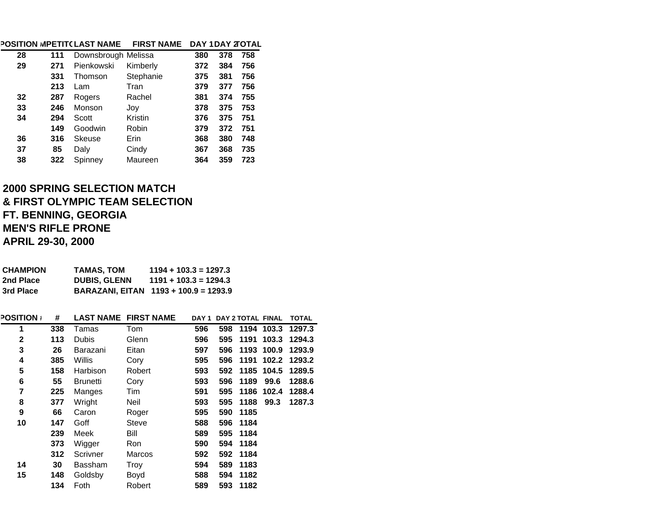|    |     | <b>POSITION MPETIT(LAST NAME</b> | <b>FIRST NAME</b> |     |     | DAY 1DAY 2TOTAL |
|----|-----|----------------------------------|-------------------|-----|-----|-----------------|
| 28 | 111 | Downsbrough Melissa              |                   | 380 | 378 | 758             |
| 29 | 271 | Pienkowski                       | Kimberly          | 372 | 384 | 756             |
|    | 331 | Thomson                          | Stephanie         | 375 | 381 | 756             |
|    | 213 | Lam                              | Tran              | 379 | 377 | 756             |
| 32 | 287 | Rogers                           | Rachel            | 381 | 374 | 755             |
| 33 | 246 | Monson                           | Joy               | 378 | 375 | 753             |
| 34 | 294 | Scott                            | Kristin           | 376 | 375 | 751             |
|    | 149 | Goodwin                          | Robin             | 379 | 372 | 751             |
| 36 | 316 | Skeuse                           | Erin              | 368 | 380 | 748             |
| 37 | 85  | Daly                             | Cindy             | 367 | 368 | 735             |
| 38 | 322 | Spinney                          | Maureen           | 364 | 359 | 723             |

# **2000 SPRING SELECTION MATCH& FIRST OLYMPIC TEAM SELECTION FT. BENNING, GEORGIA MEN'S RIFLE PRONE APRIL 29-30, 2000**

| <b>CHAMPION</b><br>2nd Place<br>3rd Place |     | <b>TAMAS, TOM</b><br><b>DUBIS, GLENN</b><br>BARAZANI, EITAN 1193 + 100.9 = 1293.9 |              | $1194 + 103.3 = 1297.3$<br>$1191 + 103.3 = 1294.3$ |     |                         |            |              |
|-------------------------------------------|-----|-----------------------------------------------------------------------------------|--------------|----------------------------------------------------|-----|-------------------------|------------|--------------|
|                                           |     |                                                                                   |              |                                                    |     |                         |            |              |
| <b>POSITION</b>                           | #   | <b>LAST NAME FIRST NAME</b>                                                       |              |                                                    |     | DAY 1 DAY 2 TOTAL FINAL |            | <b>TOTAL</b> |
| 1                                         | 338 | Tamas                                                                             | <b>Tom</b>   | 596                                                | 598 |                         | 1194 103.3 | 1297.3       |
| $\mathbf 2$                               | 113 | <b>Dubis</b>                                                                      | Glenn        | 596                                                | 595 | 1191                    | 103.3      | 1294.3       |
| 3                                         | 26  | Barazani                                                                          | Eitan        | 597                                                | 596 | 1193                    | 100.9      | 1293.9       |
| 4                                         | 385 | Willis                                                                            | Cory         | 595                                                | 596 | 1191                    | 102.2      | 1293.2       |
| 5                                         | 158 | Harbison                                                                          | Robert       | 593                                                | 592 | 1185                    | 104.5      | 1289.5       |
| $6\phantom{1}$                            | 55  | <b>Brunetti</b>                                                                   | Cory         | 593                                                | 596 | 1189                    | 99.6       | 1288.6       |
| $\overline{7}$                            | 225 | Manges                                                                            | Tim          | 591                                                | 595 | 1186                    | 102.4      | 1288.4       |
| 8                                         | 377 | Wright                                                                            | Neil         | 593                                                | 595 | 1188                    | 99.3       | 1287.3       |
| 9                                         | 66  | Caron                                                                             | Roger        | 595                                                | 590 | 1185                    |            |              |
| 10                                        | 147 | Goff                                                                              | <b>Steve</b> | 588                                                | 596 | 1184                    |            |              |
|                                           | 239 | Meek                                                                              | Bill         | 589                                                | 595 | 1184                    |            |              |
|                                           | 373 | Wigger                                                                            | <b>Ron</b>   | 590                                                | 594 | 1184                    |            |              |
|                                           | 312 | Scrivner                                                                          | Marcos       | 592                                                | 592 | 1184                    |            |              |
| 14                                        | 30  | Bassham                                                                           | Troy         | 594                                                | 589 | 1183                    |            |              |
| 15                                        | 148 | Goldsby                                                                           | Boyd         | 588                                                | 594 | 1182                    |            |              |
|                                           | 134 | Foth                                                                              | Robert       | 589                                                | 593 | 1182                    |            |              |
|                                           |     |                                                                                   |              |                                                    |     |                         |            |              |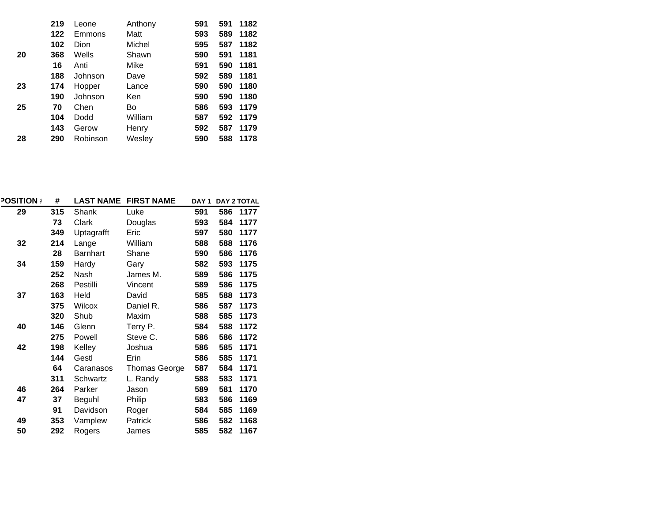|    | 219 | Leone    | Anthony | 591 | 591 | 1182 |
|----|-----|----------|---------|-----|-----|------|
|    | 122 | Emmons   | Matt    | 593 | 589 | 1182 |
|    | 102 | Dion     | Michel  | 595 | 587 | 1182 |
| 20 | 368 | Wells    | Shawn   | 590 | 591 | 1181 |
|    | 16  | Anti     | Mike    | 591 | 590 | 1181 |
|    | 188 | Johnson  | Dave    | 592 | 589 | 1181 |
| 23 | 174 | Hopper   | Lance   | 590 | 590 | 1180 |
|    | 190 | Johnson  | Ken     | 590 | 590 | 1180 |
| 25 | 70  | Chen     | Bo      | 586 | 593 | 1179 |
|    | 104 | Dodd     | William | 587 | 592 | 1179 |
|    | 143 | Gerow    | Henry   | 592 | 587 | 1179 |
| 28 | 290 | Robinson | Wesley  | 590 | 588 | 1178 |

| <b>POSITION</b> | #   | <b>LAST NAME</b> | <b>FIRST NAME</b> | DAY <sub>1</sub> |     | <b>DAY 2 TOTAL</b> |
|-----------------|-----|------------------|-------------------|------------------|-----|--------------------|
| 29              | 315 | Shank            | Luke              | 591              | 586 | 1177               |
|                 | 73  | Clark            | Douglas           | 593              | 584 | 1177               |
|                 | 349 | Uptagrafft       | Eric              | 597              | 580 | 1177               |
| 32              | 214 | Lange            | William           | 588              | 588 | 1176               |
|                 | 28  | Barnhart         | Shane             | 590              | 586 | 1176               |
| 34              | 159 | Hardy            | Gary              | 582              | 593 | 1175               |
|                 | 252 | Nash             | James M.          | 589              | 586 | 1175               |
|                 | 268 | Pestilli         | Vincent           | 589              | 586 | 1175               |
| 37              | 163 | Held             | David             | 585              | 588 | 1173               |
|                 | 375 | Wilcox           | Daniel R.         | 586              | 587 | 1173               |
|                 | 320 | Shub             | Maxim             | 588              | 585 | 1173               |
| 40              | 146 | Glenn            | Terry P.          | 584              | 588 | 1172               |
|                 | 275 | Powell           | Steve C.          | 586              | 586 | 1172               |
| 42              | 198 | Kelley           | Joshua            | 586              | 585 | 1171               |
|                 | 144 | Gestl            | Erin              | 586              | 585 | 1171               |
|                 | 64  | Caranasos        | Thomas George     | 587              | 584 | 1171               |
|                 | 311 | Schwartz         | L. Randy          | 588              | 583 | 1171               |
| 46              | 264 | Parker           | Jason             | 589              | 581 | 1170               |
| 47              | 37  | Beguhl           | Philip            | 583              | 586 | 1169               |
|                 | 91  | Davidson         | Roger             | 584              | 585 | 1169               |
| 49              | 353 | Vamplew          | Patrick           | 586              | 582 | 1168               |
| 50              | 292 | Rogers           | James             | 585              | 582 | 1167               |